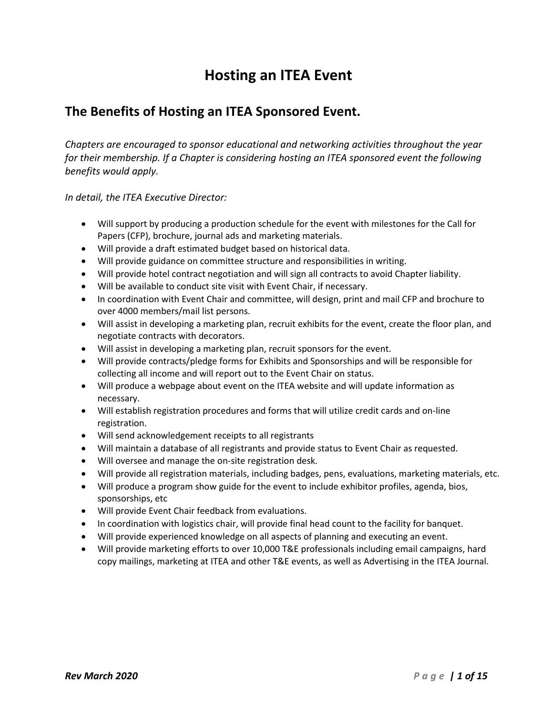# **Hosting an ITEA Event**

# **The Benefits of Hosting an ITEA Sponsored Event.**

*Chapters are encouraged to sponsor educational and networking activities throughout the year for their membership. If a Chapter is considering hosting an ITEA sponsored event the following benefits would apply.* 

*In detail, the ITEA Executive Director:*

- Will support by producing a production schedule for the event with milestones for the Call for Papers (CFP), brochure, journal ads and marketing materials.
- Will provide a draft estimated budget based on historical data.
- Will provide guidance on committee structure and responsibilities in writing.
- Will provide hotel contract negotiation and will sign all contracts to avoid Chapter liability.
- Will be available to conduct site visit with Event Chair, if necessary.
- In coordination with Event Chair and committee, will design, print and mail CFP and brochure to over 4000 members/mail list persons.
- Will assist in developing a marketing plan, recruit exhibits for the event, create the floor plan, and negotiate contracts with decorators.
- Will assist in developing a marketing plan, recruit sponsors for the event.
- Will provide contracts/pledge forms for Exhibits and Sponsorships and will be responsible for collecting all income and will report out to the Event Chair on status.
- Will produce a webpage about event on the ITEA website and will update information as necessary.
- Will establish registration procedures and forms that will utilize credit cards and on-line registration.
- Will send acknowledgement receipts to all registrants
- Will maintain a database of all registrants and provide status to Event Chair as requested.
- Will oversee and manage the on-site registration desk.
- Will provide all registration materials, including badges, pens, evaluations, marketing materials, etc.
- Will produce a program show guide for the event to include exhibitor profiles, agenda, bios, sponsorships, etc
- Will provide Event Chair feedback from evaluations.
- In coordination with logistics chair, will provide final head count to the facility for banquet.
- Will provide experienced knowledge on all aspects of planning and executing an event.
- Will provide marketing efforts to over 10,000 T&E professionals including email campaigns, hard copy mailings, marketing at ITEA and other T&E events, as well as Advertising in the ITEA Journal.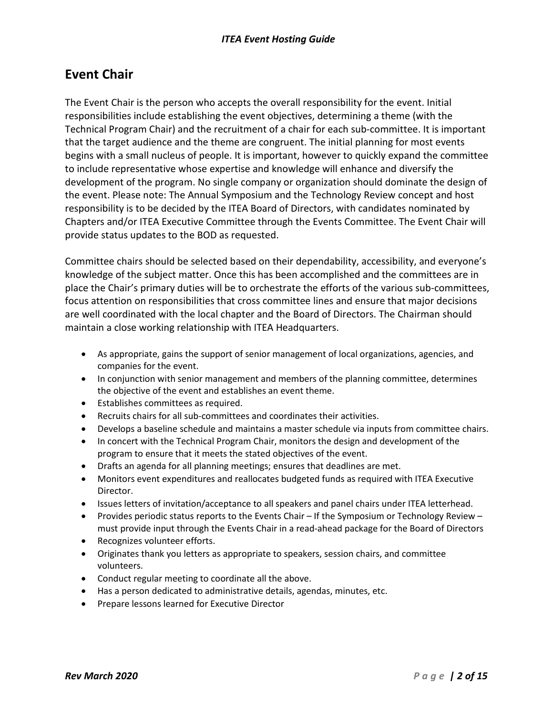# **Event Chair**

The Event Chair is the person who accepts the overall responsibility for the event. Initial responsibilities include establishing the event objectives, determining a theme (with the Technical Program Chair) and the recruitment of a chair for each sub-committee. It is important that the target audience and the theme are congruent. The initial planning for most events begins with a small nucleus of people. It is important, however to quickly expand the committee to include representative whose expertise and knowledge will enhance and diversify the development of the program. No single company or organization should dominate the design of the event. Please note: The Annual Symposium and the Technology Review concept and host responsibility is to be decided by the ITEA Board of Directors, with candidates nominated by Chapters and/or ITEA Executive Committee through the Events Committee. The Event Chair will provide status updates to the BOD as requested.

Committee chairs should be selected based on their dependability, accessibility, and everyone's knowledge of the subject matter. Once this has been accomplished and the committees are in place the Chair's primary duties will be to orchestrate the efforts of the various sub-committees, focus attention on responsibilities that cross committee lines and ensure that major decisions are well coordinated with the local chapter and the Board of Directors. The Chairman should maintain a close working relationship with ITEA Headquarters.

- As appropriate, gains the support of senior management of local organizations, agencies, and companies for the event.
- In conjunction with senior management and members of the planning committee, determines the objective of the event and establishes an event theme.
- Establishes committees as required.
- Recruits chairs for all sub-committees and coordinates their activities.
- Develops a baseline schedule and maintains a master schedule via inputs from committee chairs.
- In concert with the Technical Program Chair, monitors the design and development of the program to ensure that it meets the stated objectives of the event.
- Drafts an agenda for all planning meetings; ensures that deadlines are met.
- Monitors event expenditures and reallocates budgeted funds as required with ITEA Executive Director.
- Issues letters of invitation/acceptance to all speakers and panel chairs under ITEA letterhead.
- Provides periodic status reports to the Events Chair If the Symposium or Technology Review must provide input through the Events Chair in a read-ahead package for the Board of Directors
- Recognizes volunteer efforts.
- Originates thank you letters as appropriate to speakers, session chairs, and committee volunteers.
- Conduct regular meeting to coordinate all the above.
- Has a person dedicated to administrative details, agendas, minutes, etc.
- Prepare lessons learned for Executive Director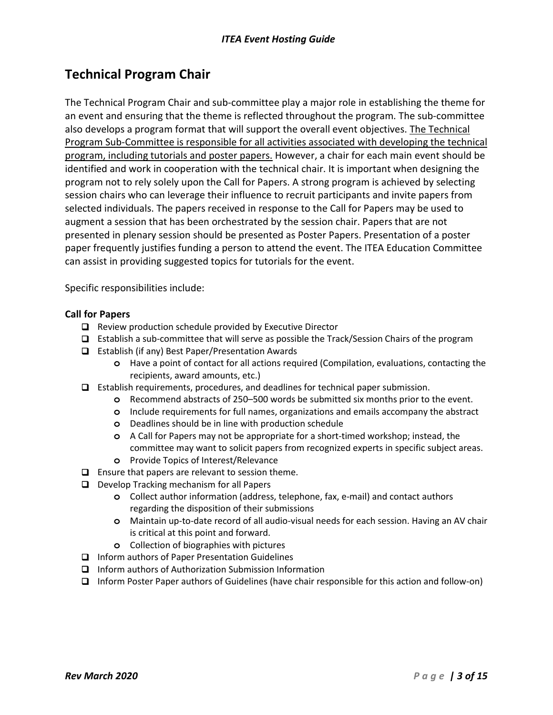# **Technical Program Chair**

The Technical Program Chair and sub-committee play a major role in establishing the theme for an event and ensuring that the theme is reflected throughout the program. The sub-committee also develops a program format that will support the overall event objectives. The Technical Program Sub-Committee is responsible for all activities associated with developing the technical program, including tutorials and poster papers. However, a chair for each main event should be identified and work in cooperation with the technical chair. It is important when designing the program not to rely solely upon the Call for Papers. A strong program is achieved by selecting session chairs who can leverage their influence to recruit participants and invite papers from selected individuals. The papers received in response to the Call for Papers may be used to augment a session that has been orchestrated by the session chair. Papers that are not presented in plenary session should be presented as Poster Papers. Presentation of a poster paper frequently justifies funding a person to attend the event. The ITEA Education Committee can assist in providing suggested topics for tutorials for the event.

Specific responsibilities include:

#### **Call for Papers**

- □ Review production schedule provided by Executive Director
- $\Box$  Establish a sub-committee that will serve as possible the Track/Session Chairs of the program
- □ Establish (if any) Best Paper/Presentation Awards
	- **o** Have a point of contact for all actions required (Compilation, evaluations, contacting the recipients, award amounts, etc.)
- Establish requirements, procedures, and deadlines for technical paper submission.
	- **o** Recommend abstracts of 250–500 words be submitted six months prior to the event.
	- **o** Include requirements for full names, organizations and emails accompany the abstract
	- **o** Deadlines should be in line with production schedule
	- **o** A Call for Papers may not be appropriate for a short-timed workshop; instead, the committee may want to solicit papers from recognized experts in specific subject areas.
	- **o** Provide Topics of Interest/Relevance
- $\Box$  Ensure that papers are relevant to session theme.
- D Develop Tracking mechanism for all Papers
	- **o** Collect author information (address, telephone, fax, e-mail) and contact authors regarding the disposition of their submissions
	- **o** Maintain up-to-date record of all audio-visual needs for each session. Having an AV chair is critical at this point and forward.
	- **o** Collection of biographies with pictures
- □ Inform authors of Paper Presentation Guidelines
- Inform authors of Authorization Submission Information
- Inform Poster Paper authors of Guidelines (have chair responsible for this action and follow-on)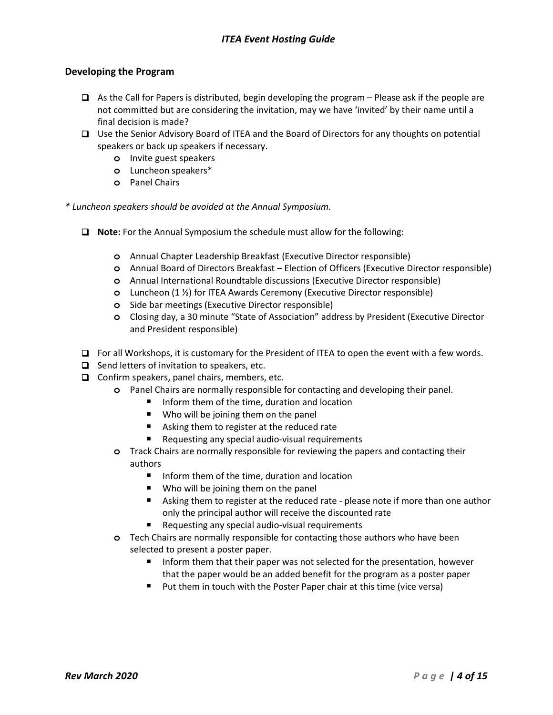#### **Developing the Program**

- $\Box$  As the Call for Papers is distributed, begin developing the program Please ask if the people are not committed but are considering the invitation, may we have 'invited' by their name until a final decision is made?
- □ Use the Senior Advisory Board of ITEA and the Board of Directors for any thoughts on potential speakers or back up speakers if necessary.
	- **o** Invite guest speakers
	- **o** Luncheon speakers\*
	- **o** Panel Chairs

*\* Luncheon speakers should be avoided at the Annual Symposium.* 

- **Note:** For the Annual Symposium the schedule must allow for the following:
	- **o** Annual Chapter Leadership Breakfast (Executive Director responsible)
	- **o** Annual Board of Directors Breakfast Election of Officers (Executive Director responsible)
	- **o** Annual International Roundtable discussions (Executive Director responsible)
	- **o** Luncheon (1 ½) for ITEA Awards Ceremony (Executive Director responsible)
	- **o** Side bar meetings (Executive Director responsible)
	- **o** Closing day, a 30 minute "State of Association" address by President (Executive Director and President responsible)
- $\Box$  For all Workshops, it is customary for the President of ITEA to open the event with a few words.
- $\Box$  Send letters of invitation to speakers, etc.
- $\Box$  Confirm speakers, panel chairs, members, etc.
	- **o** Panel Chairs are normally responsible for contacting and developing their panel.
		- Inform them of the time, duration and location
		- Who will be joining them on the panel
		- Asking them to register at the reduced rate
		- Requesting any special audio-visual requirements
	- **o** Track Chairs are normally responsible for reviewing the papers and contacting their authors
		- **I** Inform them of the time, duration and location
		- **Who will be joining them on the panel**
		- Asking them to register at the reduced rate please note if more than one author only the principal author will receive the discounted rate
		- Requesting any special audio-visual requirements
	- **o** Tech Chairs are normally responsible for contacting those authors who have been selected to present a poster paper.
		- Inform them that their paper was not selected for the presentation, however that the paper would be an added benefit for the program as a poster paper
		- Put them in touch with the Poster Paper chair at this time (vice versa)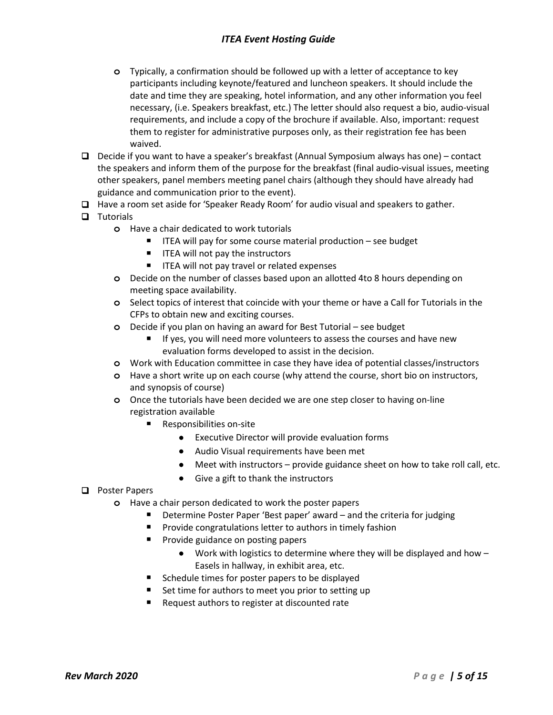## *ITEA Event Hosting Guide*

- **o** Typically, a confirmation should be followed up with a letter of acceptance to key participants including keynote/featured and luncheon speakers. It should include the date and time they are speaking, hotel information, and any other information you feel necessary, (i.e. Speakers breakfast, etc.) The letter should also request a bio, audio-visual requirements, and include a copy of the brochure if available. Also, important: request them to register for administrative purposes only, as their registration fee has been waived.
- **D** Decide if you want to have a speaker's breakfast (Annual Symposium always has one) contact the speakers and inform them of the purpose for the breakfast (final audio-visual issues, meeting other speakers, panel members meeting panel chairs (although they should have already had guidance and communication prior to the event).
- $\Box$  Have a room set aside for 'Speaker Ready Room' for audio visual and speakers to gather.

### $\Box$  Tutorials

- **o** Have a chair dedicated to work tutorials
	- $\blacksquare$  ITEA will pay for some course material production see budget
	- $\blacksquare$  ITEA will not pay the instructors
	- **IFEA will not pay travel or related expenses**
- **o** Decide on the number of classes based upon an allotted 4to 8 hours depending on meeting space availability.
- **o** Select topics of interest that coincide with your theme or have a Call for Tutorials in the CFPs to obtain new and exciting courses.
- **o** Decide if you plan on having an award for Best Tutorial see budget
	- If yes, you will need more volunteers to assess the courses and have new evaluation forms developed to assist in the decision.
- **o** Work with Education committee in case they have idea of potential classes/instructors
- **o** Have a short write up on each course (why attend the course, short bio on instructors, and synopsis of course)
- **o** Once the tutorials have been decided we are one step closer to having on-line registration available
	- Responsibilities on-site
		- Executive Director will provide evaluation forms
		- Audio Visual requirements have been met
		- Meet with instructors provide guidance sheet on how to take roll call, etc.
		- Give a gift to thank the instructors
- **Q** Poster Papers
	- **o** Have a chair person dedicated to work the poster papers
		- Determine Poster Paper 'Best paper' award and the criteria for judging
		- Provide congratulations letter to authors in timely fashion
		- **Provide guidance on posting papers** 
			- Work with logistics to determine where they will be displayed and how Easels in hallway, in exhibit area, etc.
		- Schedule times for poster papers to be displayed
		- Set time for authors to meet you prior to setting up
		- Request authors to register at discounted rate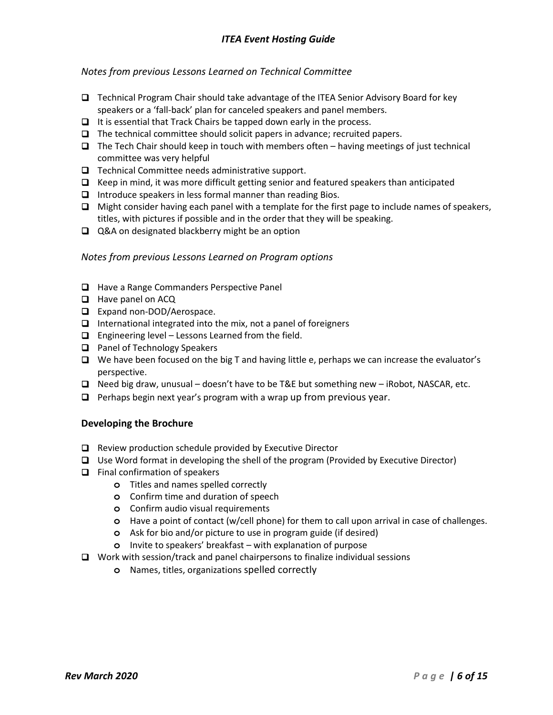### *Notes from previous Lessons Learned on Technical Committee*

- Technical Program Chair should take advantage of the ITEA Senior Advisory Board for key speakers or a 'fall-back' plan for canceled speakers and panel members.
- $\Box$  It is essential that Track Chairs be tapped down early in the process.
- $\Box$  The technical committee should solicit papers in advance; recruited papers.
- $\Box$  The Tech Chair should keep in touch with members often having meetings of just technical committee was very helpful
- $\Box$  Technical Committee needs administrative support.
- $\Box$  Keep in mind, it was more difficult getting senior and featured speakers than anticipated
- $\Box$  Introduce speakers in less formal manner than reading Bios.
- $\Box$  Might consider having each panel with a template for the first page to include names of speakers, titles, with pictures if possible and in the order that they will be speaking.
- **□** Q&A on designated blackberry might be an option

#### *Notes from previous Lessons Learned on Program options*

- □ Have a Range Commanders Perspective Panel
- **Have panel on ACQ**
- □ Expand non-DOD/Aerospace.
- $\Box$  International integrated into the mix, not a panel of foreigners
- $\Box$  Engineering level Lessons Learned from the field.
- **Q** Panel of Technology Speakers
- $\Box$  We have been focused on the big T and having little e, perhaps we can increase the evaluator's perspective.
- $\Box$  Need big draw, unusual doesn't have to be T&E but something new iRobot, NASCAR, etc.
- $\Box$  Perhaps begin next year's program with a wrap up from previous year.

### **Developing the Brochure**

- □ Review production schedule provided by Executive Director
- $\Box$  Use Word format in developing the shell of the program (Provided by Executive Director)
- $\Box$  Final confirmation of speakers
	- **o** Titles and names spelled correctly
	- **o** Confirm time and duration of speech
	- **o** Confirm audio visual requirements
	- **o** Have a point of contact (w/cell phone) for them to call upon arrival in case of challenges.
	- **o** Ask for bio and/or picture to use in program guide (if desired)
	- **o** Invite to speakers' breakfast with explanation of purpose
- $\Box$  Work with session/track and panel chairpersons to finalize individual sessions
	- **o** Names, titles, organizations spelled correctly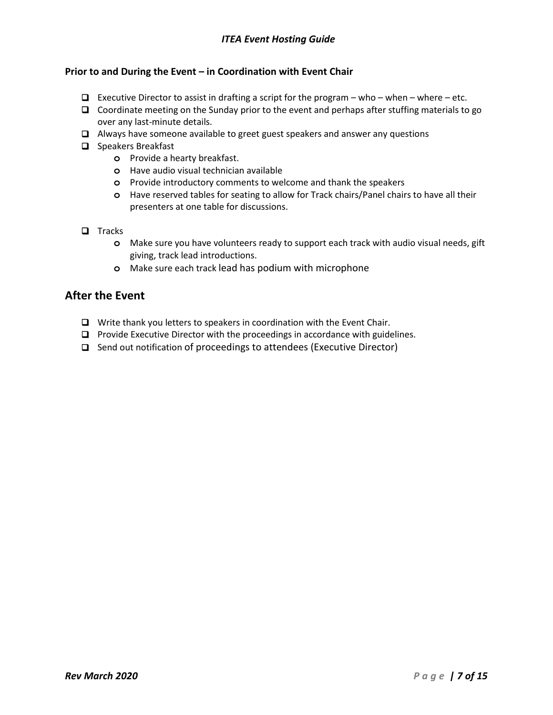## *ITEA Event Hosting Guide*

### **Prior to and During the Event – in Coordination with Event Chair**

- $\Box$  Executive Director to assist in drafting a script for the program who when where etc.
- $\Box$  Coordinate meeting on the Sunday prior to the event and perhaps after stuffing materials to go over any last-minute details.
- Always have someone available to greet guest speakers and answer any questions
- $\Box$  Speakers Breakfast
	- **o** Provide a hearty breakfast.
	- **o** Have audio visual technician available
	- **o** Provide introductory comments to welcome and thank the speakers
	- **o** Have reserved tables for seating to allow for Track chairs/Panel chairs to have all their presenters at one table for discussions.
- $\Box$  Tracks
	- **o** Make sure you have volunteers ready to support each track with audio visual needs, gift giving, track lead introductions.
	- **o** Make sure each track lead has podium with microphone

### **After the Event**

- □ Write thank you letters to speakers in coordination with the Event Chair.
- $\Box$  Provide Executive Director with the proceedings in accordance with guidelines.
- □ Send out notification of proceedings to attendees (Executive Director)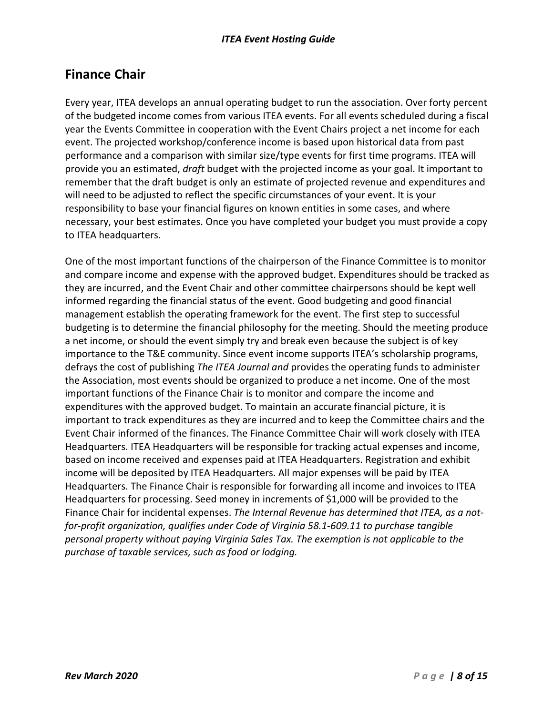# **Finance Chair**

Every year, ITEA develops an annual operating budget to run the association. Over forty percent of the budgeted income comes from various ITEA events. For all events scheduled during a fiscal year the Events Committee in cooperation with the Event Chairs project a net income for each event. The projected workshop/conference income is based upon historical data from past performance and a comparison with similar size/type events for first time programs. ITEA will provide you an estimated, *draft* budget with the projected income as your goal. It important to remember that the draft budget is only an estimate of projected revenue and expenditures and will need to be adjusted to reflect the specific circumstances of your event. It is your responsibility to base your financial figures on known entities in some cases, and where necessary, your best estimates. Once you have completed your budget you must provide a copy to ITEA headquarters.

One of the most important functions of the chairperson of the Finance Committee is to monitor and compare income and expense with the approved budget. Expenditures should be tracked as they are incurred, and the Event Chair and other committee chairpersons should be kept well informed regarding the financial status of the event. Good budgeting and good financial management establish the operating framework for the event. The first step to successful budgeting is to determine the financial philosophy for the meeting. Should the meeting produce a net income, or should the event simply try and break even because the subject is of key importance to the T&E community. Since event income supports ITEA's scholarship programs, defrays the cost of publishing *The ITEA Journal and* provides the operating funds to administer the Association, most events should be organized to produce a net income. One of the most important functions of the Finance Chair is to monitor and compare the income and expenditures with the approved budget. To maintain an accurate financial picture, it is important to track expenditures as they are incurred and to keep the Committee chairs and the Event Chair informed of the finances. The Finance Committee Chair will work closely with ITEA Headquarters. ITEA Headquarters will be responsible for tracking actual expenses and income, based on income received and expenses paid at ITEA Headquarters. Registration and exhibit income will be deposited by ITEA Headquarters. All major expenses will be paid by ITEA Headquarters. The Finance Chair is responsible for forwarding all income and invoices to ITEA Headquarters for processing. Seed money in increments of \$1,000 will be provided to the Finance Chair for incidental expenses. *The Internal Revenue has determined that ITEA, as a notfor-profit organization, qualifies under Code of Virginia 58.1-609.11 to purchase tangible personal property without paying Virginia Sales Tax. The exemption is not applicable to the purchase of taxable services, such as food or lodging.*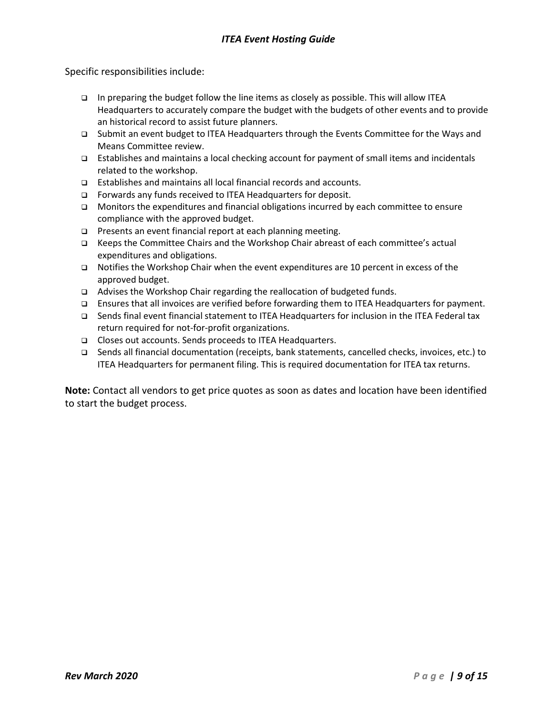Specific responsibilities include:

- In preparing the budget follow the line items as closely as possible. This will allow ITEA Headquarters to accurately compare the budget with the budgets of other events and to provide an historical record to assist future planners.
- Submit an event budget to ITEA Headquarters through the Events Committee for the Ways and Means Committee review.
- Establishes and maintains a local checking account for payment of small items and incidentals related to the workshop.
- □ Establishes and maintains all local financial records and accounts.
- □ Forwards any funds received to ITEA Headquarters for deposit.
- $\Box$  Monitors the expenditures and financial obligations incurred by each committee to ensure compliance with the approved budget.
- **Presents an event financial report at each planning meeting.**
- Keeps the Committee Chairs and the Workshop Chair abreast of each committee's actual expenditures and obligations.
- □ Notifies the Workshop Chair when the event expenditures are 10 percent in excess of the approved budget.
- □ Advises the Workshop Chair regarding the reallocation of budgeted funds.
- Ensures that all invoices are verified before forwarding them to ITEA Headquarters for payment.
- Sends final event financial statement to ITEA Headquarters for inclusion in the ITEA Federal tax return required for not-for-profit organizations.
- □ Closes out accounts. Sends proceeds to ITEA Headquarters.
- Sends all financial documentation (receipts, bank statements, cancelled checks, invoices, etc.) to ITEA Headquarters for permanent filing. This is required documentation for ITEA tax returns.

**Note:** Contact all vendors to get price quotes as soon as dates and location have been identified to start the budget process.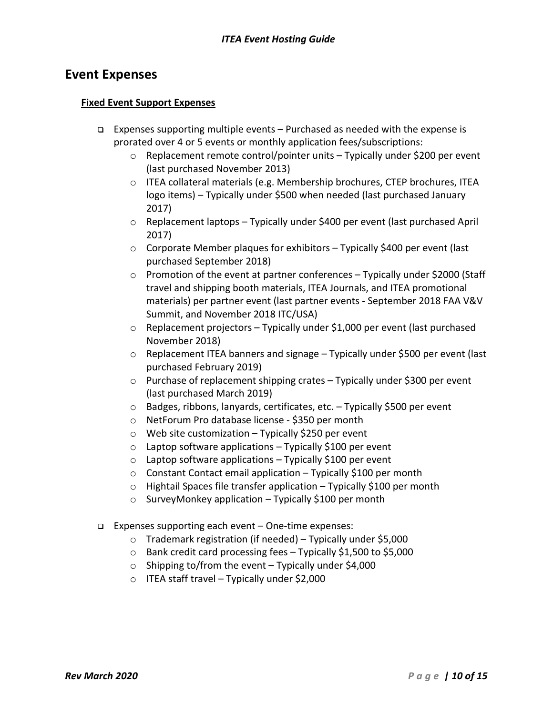# **Event Expenses**

### **Fixed Event Support Expenses**

- □ Expenses supporting multiple events Purchased as needed with the expense is prorated over 4 or 5 events or monthly application fees/subscriptions:
	- $\circ$  Replacement remote control/pointer units Typically under \$200 per event (last purchased November 2013)
	- o ITEA collateral materials (e.g. Membership brochures, CTEP brochures, ITEA logo items) – Typically under \$500 when needed (last purchased January 2017)
	- $\circ$  Replacement laptops Typically under \$400 per event (last purchased April 2017)
	- o Corporate Member plaques for exhibitors Typically \$400 per event (last purchased September 2018)
	- o Promotion of the event at partner conferences Typically under \$2000 (Staff travel and shipping booth materials, ITEA Journals, and ITEA promotional materials) per partner event (last partner events - September 2018 FAA V&V Summit, and November 2018 ITC/USA)
	- o Replacement projectors Typically under \$1,000 per event (last purchased November 2018)
	- $\circ$  Replacement ITEA banners and signage Typically under \$500 per event (last purchased February 2019)
	- o Purchase of replacement shipping crates Typically under \$300 per event (last purchased March 2019)
	- o Badges, ribbons, lanyards, certificates, etc. Typically \$500 per event
	- o NetForum Pro database license \$350 per month
	- $\circ$  Web site customization Typically \$250 per event
	- $\circ$  Laptop software applications Typically \$100 per event
	- $\circ$  Laptop software applications Typically \$100 per event
	- $\circ$  Constant Contact email application Typically \$100 per month
	- o Hightail Spaces file transfer application Typically \$100 per month
	- o SurveyMonkey application Typically \$100 per month
- Expenses supporting each event One-time expenses:
	- $\circ$  Trademark registration (if needed) Typically under \$5,000
	- o Bank credit card processing fees Typically \$1,500 to \$5,000
	- $\circ$  Shipping to/from the event Typically under \$4,000
	- $\circ$  ITEA staff travel Typically under \$2,000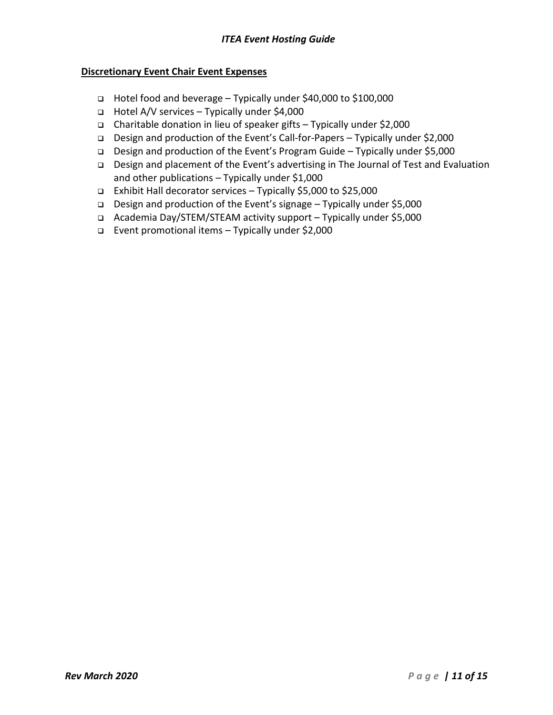### **Discretionary Event Chair Event Expenses**

- Hotel food and beverage Typically under \$40,000 to \$100,000
- Hotel A/V services Typically under \$4,000
- Charitable donation in lieu of speaker gifts Typically under \$2,000
- Design and production of the Event's Call-for-Papers Typically under \$2,000
- Design and production of the Event's Program Guide Typically under \$5,000
- Design and placement of the Event's advertising in The Journal of Test and Evaluation and other publications – Typically under \$1,000
- Exhibit Hall decorator services Typically \$5,000 to \$25,000
- Design and production of the Event's signage Typically under \$5,000
- Academia Day/STEM/STEAM activity support Typically under \$5,000
- Event promotional items Typically under \$2,000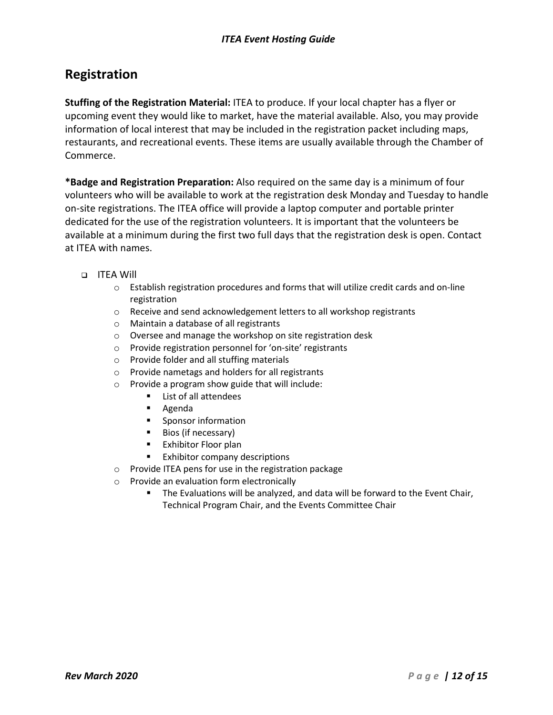# **Registration**

**Stuffing of the Registration Material:** ITEA to produce. If your local chapter has a flyer or upcoming event they would like to market, have the material available. Also, you may provide information of local interest that may be included in the registration packet including maps, restaurants, and recreational events. These items are usually available through the Chamber of Commerce.

**\*Badge and Registration Preparation:** Also required on the same day is a minimum of four volunteers who will be available to work at the registration desk Monday and Tuesday to handle on-site registrations. The ITEA office will provide a laptop computer and portable printer dedicated for the use of the registration volunteers. It is important that the volunteers be available at a minimum during the first two full days that the registration desk is open. Contact at ITEA with names.

### ITEA Will

- o Establish registration procedures and forms that will utilize credit cards and on-line registration
- o Receive and send acknowledgement letters to all workshop registrants
- o Maintain a database of all registrants
- o Oversee and manage the workshop on site registration desk
- o Provide registration personnel for 'on-site' registrants
- o Provide folder and all stuffing materials
- o Provide nametags and holders for all registrants
- $\circ$  Provide a program show guide that will include:<br> $\bullet$  List of all attendees
	- List of all attendees
	- Agenda
	- **Sponsor information**
	- **Bios (if necessary)**
	- **Exhibitor Floor plan**
	- **Exhibitor company descriptions**
- o Provide ITEA pens for use in the registration package
- o Provide an evaluation form electronically
	- The Evaluations will be analyzed, and data will be forward to the Event Chair, Technical Program Chair, and the Events Committee Chair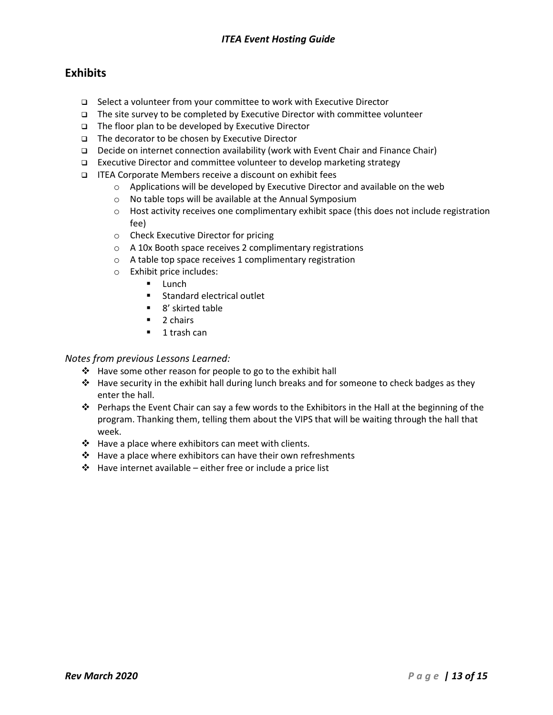## *ITEA Event Hosting Guide*

## **Exhibits**

- □ Select a volunteer from your committee to work with Executive Director
- $\Box$  The site survey to be completed by Executive Director with committee volunteer
- $\Box$  The floor plan to be developed by Executive Director
- □ The decorator to be chosen by Executive Director
- Decide on internet connection availability (work with Event Chair and Finance Chair)
- □ Executive Director and committee volunteer to develop marketing strategy
- ITEA Corporate Members receive a discount on exhibit fees
	- o Applications will be developed by Executive Director and available on the web
	- o No table tops will be available at the Annual Symposium
	- $\circ$  Host activity receives one complimentary exhibit space (this does not include registration fee)
	- o Check Executive Director for pricing
	- o A 10x Booth space receives 2 complimentary registrations
	- o A table top space receives 1 complimentary registration
	- o Exhibit price includes:
		- $\blacksquare$  Lunch
		- **Standard electrical outlet**
		- 8' skirted table
		- $\blacksquare$  2 chairs
		- **1** trash can

#### *Notes from previous Lessons Learned:*

- $\div$  Have some other reason for people to go to the exhibit hall
- $\div$  Have security in the exhibit hall during lunch breaks and for someone to check badges as they enter the hall.
- Perhaps the Event Chair can say a few words to the Exhibitors in the Hall at the beginning of the program. Thanking them, telling them about the VIPS that will be waiting through the hall that week.
- $\cdot \cdot$  Have a place where exhibitors can meet with clients.
- $\cdot \cdot$  Have a place where exhibitors can have their own refreshments
- $\cdot \cdot$  Have internet available either free or include a price list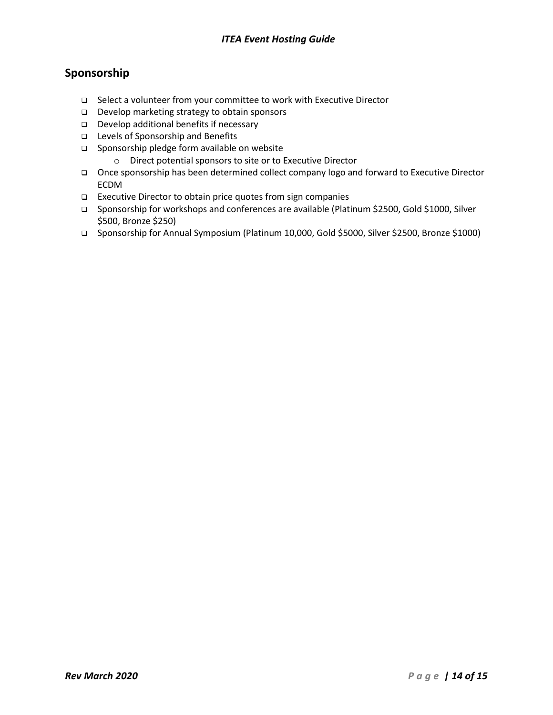# **Sponsorship**

- □ Select a volunteer from your committee to work with Executive Director
- Develop marketing strategy to obtain sponsors
- $\Box$  Develop additional benefits if necessary
- Levels of Sponsorship and Benefits
- □ Sponsorship pledge form available on website
	- o Direct potential sponsors to site or to Executive Director
- Once sponsorship has been determined collect company logo and forward to Executive Director ECDM
- □ Executive Director to obtain price quotes from sign companies
- □ Sponsorship for workshops and conferences are available (Platinum \$2500, Gold \$1000, Silver \$500, Bronze \$250)
- Sponsorship for Annual Symposium (Platinum 10,000, Gold \$5000, Silver \$2500, Bronze \$1000)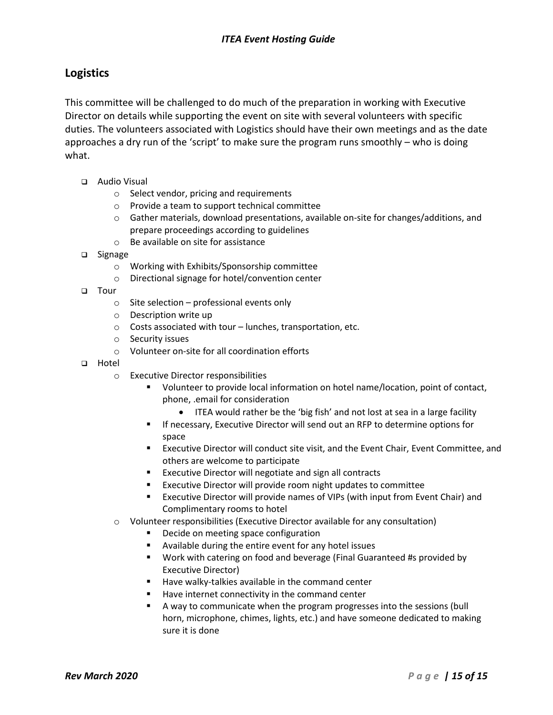## **Logistics**

This committee will be challenged to do much of the preparation in working with Executive Director on details while supporting the event on site with several volunteers with specific duties. The volunteers associated with Logistics should have their own meetings and as the date approaches a dry run of the 'script' to make sure the program runs smoothly – who is doing what.

- Audio Visual
	- o Select vendor, pricing and requirements
	- o Provide a team to support technical committee
	- $\circ$  Gather materials, download presentations, available on-site for changes/additions, and prepare proceedings according to guidelines
	- o Be available on site for assistance
- □ Signage
	- o Working with Exhibits/Sponsorship committee
	- o Directional signage for hotel/convention center
- **D** Tour
	- $\circ$  Site selection professional events only
	- o Description write up
	- o Costs associated with tour lunches, transportation, etc.
	- o Security issues
	- o Volunteer on-site for all coordination efforts
- a Hotel
	- o Executive Director responsibilities
		- Volunteer to provide local information on hotel name/location, point of contact, phone, .email for consideration
			- ITEA would rather be the 'big fish' and not lost at sea in a large facility
		- **IF IF NECESSARY, Executive Director will send out an RFP to determine options for** space
		- Executive Director will conduct site visit, and the Event Chair, Event Committee, and others are welcome to participate
		- Executive Director will negotiate and sign all contracts
		- **EXECUTER AT A LOCATE THE VIOLET IS EXECUTED FIGURE:** Executive Director will provide room night updates to committee
		- Executive Director will provide names of VIPs (with input from Event Chair) and Complimentary rooms to hotel
	- o Volunteer responsibilities (Executive Director available for any consultation)
		- Decide on meeting space configuration
		- Available during the entire event for any hotel issues
		- Work with catering on food and beverage (Final Guaranteed #s provided by Executive Director)
		- Have walky-talkies available in the command center
		- Have internet connectivity in the command center
		- A way to communicate when the program progresses into the sessions (bull horn, microphone, chimes, lights, etc.) and have someone dedicated to making sure it is done